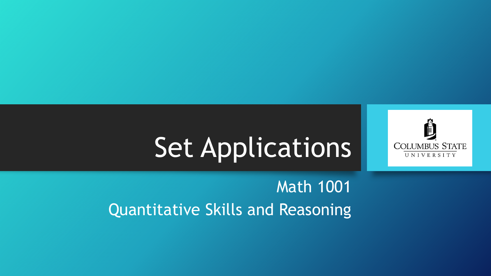

# Set Applications

### Math 1001 Quantitative Skills and Reasoning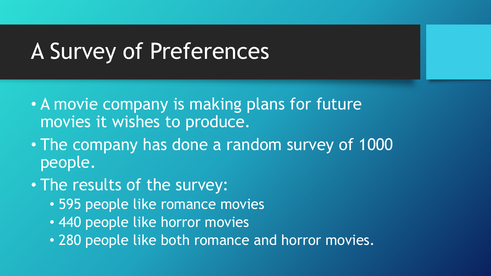- A movie company is making plans for future movies it wishes to produce.
- The company has done a random survey of 1000 people.
- The results of the survey:
	- 595 people like romance movies
	- 440 people like horror movies
	- 280 people like both romance and horror movies.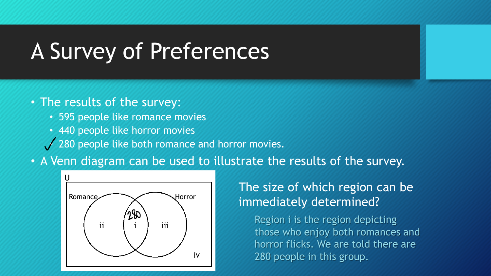- The results of the survey:
	- 595 people like romance movies
	- 440 people like horror movies
	- $\sqrt{280}$  people like both romance and horror movies.
- A Venn diagram can be used to illustrate the results of the survey.



#### The size of which region can be immediately determined?

Region i is the region depicting those who enjoy both romances and horror flicks. We are told there are 280 people in this group.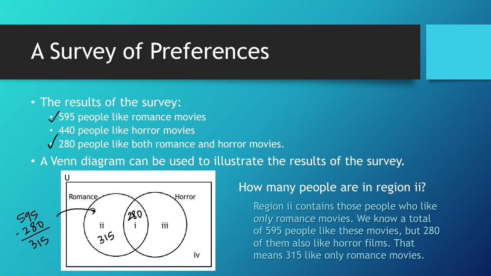- The results of the survey:
	- 595 people like romance movies
	- 440 people like horror movies
	- 280 people like both romance and horror movies.
- A Venn diagram can be used to illustrate the results of the survey.



#### How many people are in region ii?

Region ii contains those people who like *only* romance movies. We know a total of 595 people like these movies, but 280 of them also like horror films. That means 315 like only romance movies.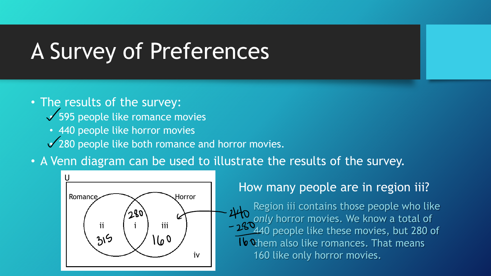- The results of the survey:
	- 595 people like romance movies
	- 440 people like horror movies
	- 280 people like both romance and horror movies.
- A Venn diagram can be used to illustrate the results of the survey.



#### How many people are in region iii?

Region iii contains those people who like *only* horror movies. We know a total of 49 people like these movies, but 280 of Ib Chem also like romances. That means 160 like only horror movies.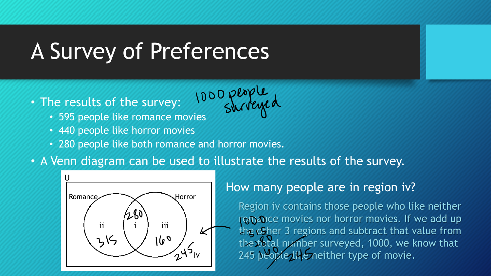- The results of the survey: he results of the survey: 1000 plapy
	-
	- 440 people like horror movies
	- 280 people like both romance and horror movies.
- A Venn diagram can be used to illustrate the results of the survey.



#### How many people are in region iv?

Region iv contains those people who like neither romance movies nor horror movies. If we add up the other 3 regions and subtract that value from the total number surveyed, 1000, we know that 245 people like neither type of movie.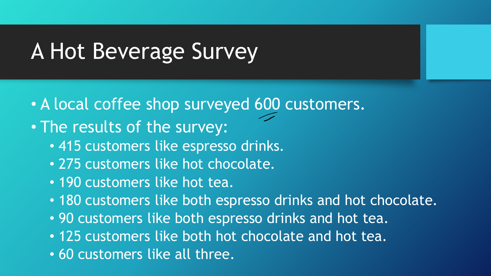### A Hot Beverage Survey

- A local coffee shop surveyed 600 customers.
- The results of the survey:
	- 415 customers like espresso drinks.
	- 275 customers like hot chocolate.
	- 190 customers like hot tea.
	- 180 customers like both espresso drinks and hot chocolate.
	- 90 customers like both espresso drinks and hot tea.
	- 125 customers like both hot chocolate and hot tea.
	- 60 customers like all three.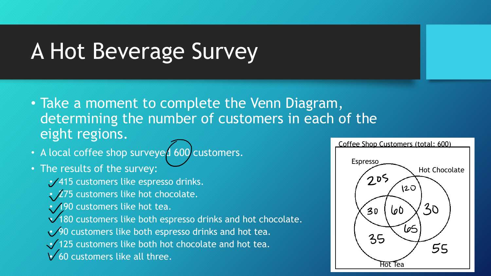### A Hot Beverage Survey

- Take a moment to complete the Venn Diagram, determining the number of customers in each of the eight regions.
- A local coffee shop surveyed 600 customers.
- The results of the survey:
	- 415 customers like espresso drinks.
	- $/275$  customers like hot chocolate.
	- 190 customers like hot tea.
	- 180 customers like both espresso drinks and hot chocolate.
	- 90 customers like both espresso drinks and hot tea.
	- 125 customers like both hot chocolate and hot tea.
	- $\sqrt{60}$  customers like all three.